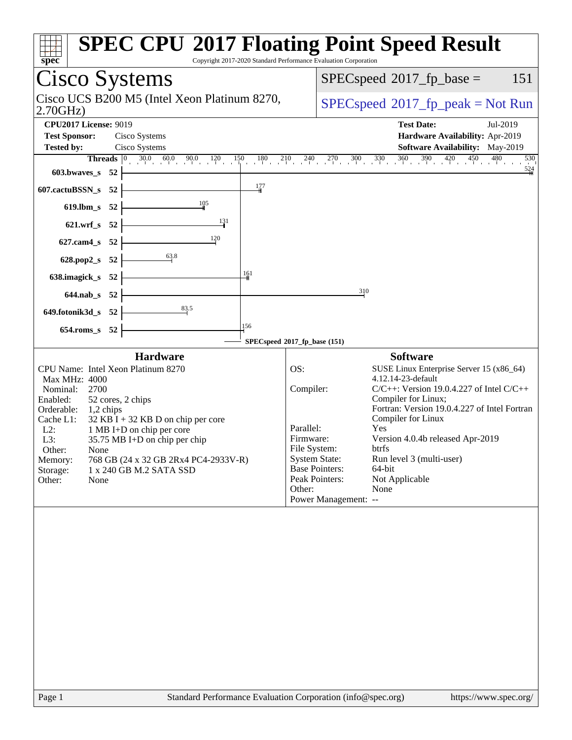| spec<br>Copyright 2017-2020 Standard Performance Evaluation Corporation                                                                                                                                                                                                                                                                                                                               | <b>SPEC CPU®2017 Floating Point Speed Result</b>                                                                                                                                                                                                                                                                                                                                                                                                                                                    |
|-------------------------------------------------------------------------------------------------------------------------------------------------------------------------------------------------------------------------------------------------------------------------------------------------------------------------------------------------------------------------------------------------------|-----------------------------------------------------------------------------------------------------------------------------------------------------------------------------------------------------------------------------------------------------------------------------------------------------------------------------------------------------------------------------------------------------------------------------------------------------------------------------------------------------|
| Cisco Systems                                                                                                                                                                                                                                                                                                                                                                                         | $SPEC speed^{\circ}2017\_fp\_base =$<br>151                                                                                                                                                                                                                                                                                                                                                                                                                                                         |
| Cisco UCS B200 M5 (Intel Xeon Platinum 8270,<br>2.70GHz                                                                                                                                                                                                                                                                                                                                               | $SPEC speed^{\circ}2017\_fp\_peak = Not Run$                                                                                                                                                                                                                                                                                                                                                                                                                                                        |
| <b>CPU2017 License: 9019</b><br><b>Test Sponsor:</b><br>Cisco Systems                                                                                                                                                                                                                                                                                                                                 | <b>Test Date:</b><br>Jul-2019<br>Hardware Availability: Apr-2019                                                                                                                                                                                                                                                                                                                                                                                                                                    |
| Cisco Systems<br><b>Tested by:</b>                                                                                                                                                                                                                                                                                                                                                                    | <b>Software Availability:</b> May-2019                                                                                                                                                                                                                                                                                                                                                                                                                                                              |
| 603.bwaves_s 52                                                                                                                                                                                                                                                                                                                                                                                       | <b>Threads</b> $\begin{bmatrix} 0 & 30.0 & 60.0 & 90.0 & 120 \\ 1 & 0 & 1 & 1 & 1 \end{bmatrix}$ 150 180 210 240 270 300 330 360 390 420 420 450 480<br>530<br>$\frac{524}{4}$                                                                                                                                                                                                                                                                                                                      |
| $\frac{177}{2}$<br>52<br>607.cactuBSSN_s                                                                                                                                                                                                                                                                                                                                                              |                                                                                                                                                                                                                                                                                                                                                                                                                                                                                                     |
| 619.lbm_s 52                                                                                                                                                                                                                                                                                                                                                                                          |                                                                                                                                                                                                                                                                                                                                                                                                                                                                                                     |
| 131<br>621.wrf_s 52                                                                                                                                                                                                                                                                                                                                                                                   |                                                                                                                                                                                                                                                                                                                                                                                                                                                                                                     |
| $\frac{120}{2}$<br>627.cam4_s 52                                                                                                                                                                                                                                                                                                                                                                      |                                                                                                                                                                                                                                                                                                                                                                                                                                                                                                     |
| 63.8<br>628.pop2_s 52                                                                                                                                                                                                                                                                                                                                                                                 |                                                                                                                                                                                                                                                                                                                                                                                                                                                                                                     |
| 161<br>638.imagick_s 52                                                                                                                                                                                                                                                                                                                                                                               |                                                                                                                                                                                                                                                                                                                                                                                                                                                                                                     |
| 644.nab_s 52                                                                                                                                                                                                                                                                                                                                                                                          | 310                                                                                                                                                                                                                                                                                                                                                                                                                                                                                                 |
| 83.5<br>649.fotonik3d_s 52                                                                                                                                                                                                                                                                                                                                                                            |                                                                                                                                                                                                                                                                                                                                                                                                                                                                                                     |
| 156<br>654.roms_s 52                                                                                                                                                                                                                                                                                                                                                                                  |                                                                                                                                                                                                                                                                                                                                                                                                                                                                                                     |
|                                                                                                                                                                                                                                                                                                                                                                                                       | SPECspeed®2017_fp_base (151)                                                                                                                                                                                                                                                                                                                                                                                                                                                                        |
| <b>Hardware</b>                                                                                                                                                                                                                                                                                                                                                                                       | <b>Software</b>                                                                                                                                                                                                                                                                                                                                                                                                                                                                                     |
| CPU Name: Intel Xeon Platinum 8270<br>Max MHz: 4000<br>Nominal:<br>2700<br>Enabled:<br>52 cores, 2 chips<br>Orderable:<br>1,2 chips<br>Cache L1:<br>$32$ KB I + 32 KB D on chip per core<br>$L2$ :<br>1 MB I+D on chip per core<br>L3:<br>35.75 MB I+D on chip per chip<br>Other:<br>None<br>768 GB (24 x 32 GB 2Rx4 PC4-2933V-R)<br>Memory:<br>1 x 240 GB M.2 SATA SSD<br>Storage:<br>Other:<br>None | OS:<br>SUSE Linux Enterprise Server 15 (x86_64)<br>4.12.14-23-default<br>Compiler:<br>$C/C++$ : Version 19.0.4.227 of Intel $C/C++$<br>Compiler for Linux;<br>Fortran: Version 19.0.4.227 of Intel Fortran<br>Compiler for Linux<br>Parallel:<br>Yes<br>Version 4.0.4b released Apr-2019<br>Firmware:<br>File System:<br>btrfs<br><b>System State:</b><br>Run level 3 (multi-user)<br><b>Base Pointers:</b><br>64-bit<br>Peak Pointers:<br>Not Applicable<br>Other:<br>None<br>Power Management: -- |
| Standard Performance Evaluation Corporation (info@spec.org)<br>Page 1                                                                                                                                                                                                                                                                                                                                 | https://www.spec.org/                                                                                                                                                                                                                                                                                                                                                                                                                                                                               |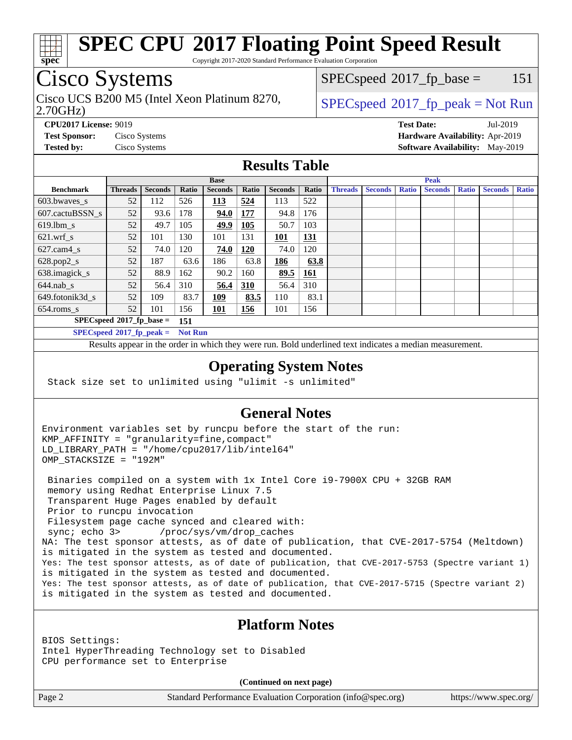

Copyright 2017-2020 Standard Performance Evaluation Corporation

## Cisco Systems

2.70GHz) Cisco UCS B200 M5 (Intel Xeon Platinum 8270,  $SPECspeed^{\circ}2017\_fp\_peak = Not Run$  $SPECspeed^{\circ}2017\_fp\_peak = Not Run$ 

 $SPECspeed^{\circ}2017\_fp\_base = 151$  $SPECspeed^{\circ}2017\_fp\_base = 151$ 

**[CPU2017 License:](http://www.spec.org/auto/cpu2017/Docs/result-fields.html#CPU2017License)** 9019 **[Test Date:](http://www.spec.org/auto/cpu2017/Docs/result-fields.html#TestDate)** Jul-2019 **[Test Sponsor:](http://www.spec.org/auto/cpu2017/Docs/result-fields.html#TestSponsor)** Cisco Systems **[Hardware Availability:](http://www.spec.org/auto/cpu2017/Docs/result-fields.html#HardwareAvailability)** Apr-2019 **[Tested by:](http://www.spec.org/auto/cpu2017/Docs/result-fields.html#Testedby)** Cisco Systems **[Software Availability:](http://www.spec.org/auto/cpu2017/Docs/result-fields.html#SoftwareAvailability)** May-2019

#### **[Results Table](http://www.spec.org/auto/cpu2017/Docs/result-fields.html#ResultsTable)**

|                                    | <b>Base</b>                 |                |                |                |       | <b>Peak</b>    |            |                |                |              |                |              |                |              |
|------------------------------------|-----------------------------|----------------|----------------|----------------|-------|----------------|------------|----------------|----------------|--------------|----------------|--------------|----------------|--------------|
| <b>Benchmark</b>                   | <b>Threads</b>              | <b>Seconds</b> | Ratio          | <b>Seconds</b> | Ratio | <b>Seconds</b> | Ratio      | <b>Threads</b> | <b>Seconds</b> | <b>Ratio</b> | <b>Seconds</b> | <b>Ratio</b> | <b>Seconds</b> | <b>Ratio</b> |
| $603.bwaves$ s                     | 52                          | 112            | 526            | <u> 113</u>    | 524   | 113            | 522        |                |                |              |                |              |                |              |
| 607.cactuBSSN s                    | 52                          | 93.6           | 178            | 94.0           | 177   | 94.8           | 176        |                |                |              |                |              |                |              |
| $619.$ lbm s                       | 52                          | 49.7           | 105            | 49.9           | 105   | 50.7           | 103        |                |                |              |                |              |                |              |
| $621$ .wrf s                       | 52                          | 101            | 130            | 101            | 131   | <u> 101</u>    | <u>131</u> |                |                |              |                |              |                |              |
| $627$ .cam4 s                      | 52                          | 74.0           | 120            | 74.0           | 120   | 74.0           | 120        |                |                |              |                |              |                |              |
| $628.pop2_s$                       | 52                          | 187            | 63.6           | 186            | 63.8  | 186            | 63.8       |                |                |              |                |              |                |              |
| 638.imagick_s                      | 52                          | 88.9           | 162            | 90.2           | 160   | 89.5           | <b>161</b> |                |                |              |                |              |                |              |
| $644$ .nab s                       | 52                          | 56.4           | 310            | 56.4           | 310   | 56.4           | 310        |                |                |              |                |              |                |              |
| 649.fotonik3d s                    | 52                          | 109            | 83.7           | 109            | 83.5  | 110            | 83.1       |                |                |              |                |              |                |              |
| $654$ .roms s                      | 52                          | 101            | 156            | 101            | 156   | 101            | 156        |                |                |              |                |              |                |              |
| $SPECspeed*2017_fp\_base =$<br>151 |                             |                |                |                |       |                |            |                |                |              |                |              |                |              |
|                                    | $SPECspeed*2017_fp\_peak =$ |                | <b>Not Run</b> |                |       |                |            |                |                |              |                |              |                |              |

Results appear in the [order in which they were run.](http://www.spec.org/auto/cpu2017/Docs/result-fields.html#RunOrder) Bold underlined text [indicates a median measurement](http://www.spec.org/auto/cpu2017/Docs/result-fields.html#Median).

#### **[Operating System Notes](http://www.spec.org/auto/cpu2017/Docs/result-fields.html#OperatingSystemNotes)**

Stack size set to unlimited using "ulimit -s unlimited"

#### **[General Notes](http://www.spec.org/auto/cpu2017/Docs/result-fields.html#GeneralNotes)**

Environment variables set by runcpu before the start of the run: KMP\_AFFINITY = "granularity=fine,compact" LD\_LIBRARY\_PATH = "/home/cpu2017/lib/intel64" OMP\_STACKSIZE = "192M"

 Binaries compiled on a system with 1x Intel Core i9-7900X CPU + 32GB RAM memory using Redhat Enterprise Linux 7.5 Transparent Huge Pages enabled by default Prior to runcpu invocation Filesystem page cache synced and cleared with: sync; echo 3> /proc/sys/vm/drop\_caches NA: The test sponsor attests, as of date of publication, that CVE-2017-5754 (Meltdown) is mitigated in the system as tested and documented. Yes: The test sponsor attests, as of date of publication, that CVE-2017-5753 (Spectre variant 1) is mitigated in the system as tested and documented. Yes: The test sponsor attests, as of date of publication, that CVE-2017-5715 (Spectre variant 2) is mitigated in the system as tested and documented.

#### **[Platform Notes](http://www.spec.org/auto/cpu2017/Docs/result-fields.html#PlatformNotes)**

BIOS Settings: Intel HyperThreading Technology set to Disabled CPU performance set to Enterprise

**(Continued on next page)**

Page 2 Standard Performance Evaluation Corporation [\(info@spec.org\)](mailto:info@spec.org) <https://www.spec.org/>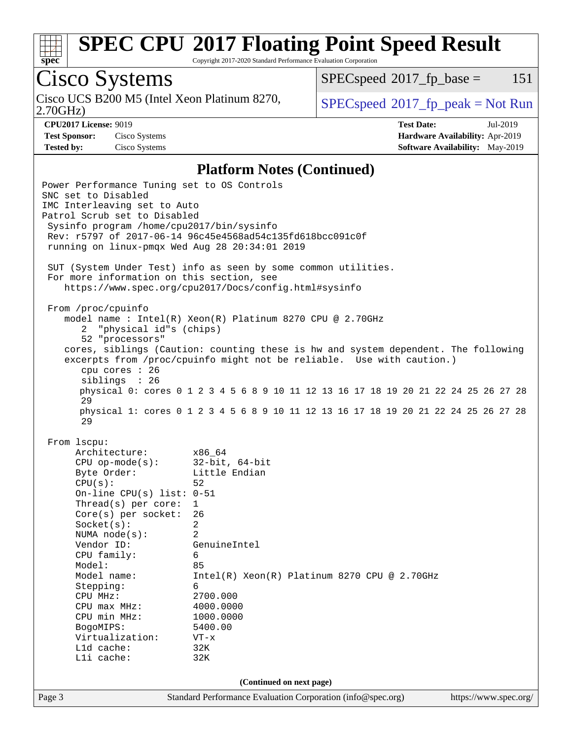

Copyright 2017-2020 Standard Performance Evaluation Corporation

# Cisco Systems

Cisco UCS B200 M5 (Intel Xeon Platinum 8270,  $SPECspeed^{\circ}2017\_fp\_peak = Not Run$  $SPECspeed^{\circ}2017\_fp\_peak = Not Run$ 

 $SPECspeed^{\circ}2017\_fp\_base = 151$  $SPECspeed^{\circ}2017\_fp\_base = 151$ 

2.70GHz)

**[Test Sponsor:](http://www.spec.org/auto/cpu2017/Docs/result-fields.html#TestSponsor)** Cisco Systems **[Hardware Availability:](http://www.spec.org/auto/cpu2017/Docs/result-fields.html#HardwareAvailability)** Apr-2019

**[CPU2017 License:](http://www.spec.org/auto/cpu2017/Docs/result-fields.html#CPU2017License)** 9019 **[Test Date:](http://www.spec.org/auto/cpu2017/Docs/result-fields.html#TestDate)** Jul-2019 **[Tested by:](http://www.spec.org/auto/cpu2017/Docs/result-fields.html#Testedby)** Cisco Systems **[Software Availability:](http://www.spec.org/auto/cpu2017/Docs/result-fields.html#SoftwareAvailability)** May-2019

#### **[Platform Notes \(Continued\)](http://www.spec.org/auto/cpu2017/Docs/result-fields.html#PlatformNotes)**

Page 3 Standard Performance Evaluation Corporation [\(info@spec.org\)](mailto:info@spec.org) <https://www.spec.org/> Power Performance Tuning set to OS Controls SNC set to Disabled IMC Interleaving set to Auto Patrol Scrub set to Disabled Sysinfo program /home/cpu2017/bin/sysinfo Rev: r5797 of 2017-06-14 96c45e4568ad54c135fd618bcc091c0f running on linux-pmqx Wed Aug 28 20:34:01 2019 SUT (System Under Test) info as seen by some common utilities. For more information on this section, see <https://www.spec.org/cpu2017/Docs/config.html#sysinfo> From /proc/cpuinfo model name : Intel(R) Xeon(R) Platinum 8270 CPU @ 2.70GHz 2 "physical id"s (chips) 52 "processors" cores, siblings (Caution: counting these is hw and system dependent. The following excerpts from /proc/cpuinfo might not be reliable. Use with caution.) cpu cores : 26 siblings : 26 physical 0: cores 0 1 2 3 4 5 6 8 9 10 11 12 13 16 17 18 19 20 21 22 24 25 26 27 28 29 physical 1: cores 0 1 2 3 4 5 6 8 9 10 11 12 13 16 17 18 19 20 21 22 24 25 26 27 28 29 From lscpu: Architecture: x86\_64 CPU op-mode(s): 32-bit, 64-bit Byte Order: Little Endian  $CPU(s):$  52 On-line CPU(s) list: 0-51 Thread(s) per core: 1 Core(s) per socket: 26 Socket(s): 2 NUMA node(s): 2 Vendor ID: GenuineIntel CPU family: 6 Model: 85 Model name: Intel(R) Xeon(R) Platinum 8270 CPU @ 2.70GHz Stepping: CPU MHz: 2700.000 CPU max MHz: 4000.0000 CPU min MHz: 1000.0000 BogoMIPS: 5400.00 Virtualization: VT-x L1d cache: 32K L1i cache: 32K **(Continued on next page)**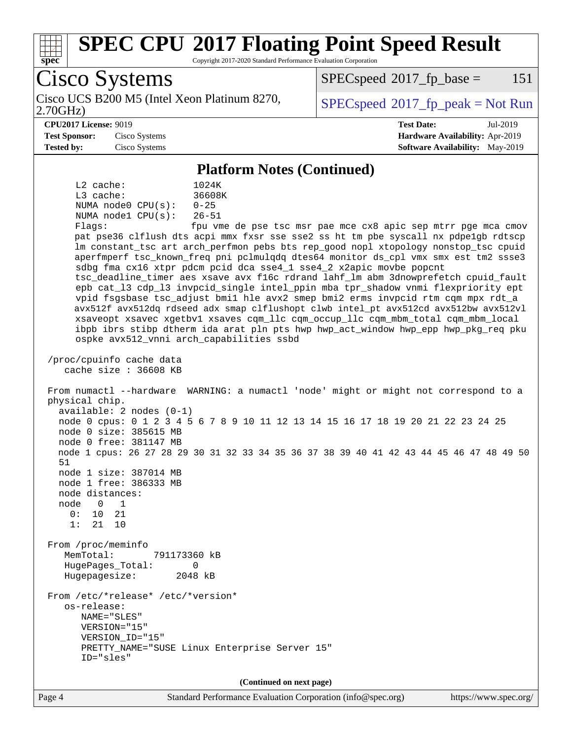

Copyright 2017-2020 Standard Performance Evaluation Corporation

Cisco Systems 2.70GHz) Cisco UCS B200 M5 (Intel Xeon Platinum 8270,  $SPECspeed^{\circ}2017\_fp\_peak = Not Run$  $SPECspeed^{\circ}2017\_fp\_peak = Not Run$  $SPECspeed^{\circ}2017\_fp\_base = 151$  $SPECspeed^{\circ}2017\_fp\_base = 151$ **[CPU2017 License:](http://www.spec.org/auto/cpu2017/Docs/result-fields.html#CPU2017License)** 9019 **[Test Date:](http://www.spec.org/auto/cpu2017/Docs/result-fields.html#TestDate)** Jul-2019 **[Test Sponsor:](http://www.spec.org/auto/cpu2017/Docs/result-fields.html#TestSponsor)** Cisco Systems **[Hardware Availability:](http://www.spec.org/auto/cpu2017/Docs/result-fields.html#HardwareAvailability)** Apr-2019 **[Tested by:](http://www.spec.org/auto/cpu2017/Docs/result-fields.html#Testedby)** Cisco Systems **[Software Availability:](http://www.spec.org/auto/cpu2017/Docs/result-fields.html#SoftwareAvailability)** May-2019 **[Platform Notes \(Continued\)](http://www.spec.org/auto/cpu2017/Docs/result-fields.html#PlatformNotes)** L2 cache: 1024K L3 cache: 36608K NUMA node0 CPU(s): 0-25 NUMA node1 CPU(s): 26-51 Flags: fpu vme de pse tsc msr pae mce cx8 apic sep mtrr pge mca cmov pat pse36 clflush dts acpi mmx fxsr sse sse2 ss ht tm pbe syscall nx pdpe1gb rdtscp lm constant\_tsc art arch\_perfmon pebs bts rep\_good nopl xtopology nonstop\_tsc cpuid aperfmperf tsc\_known\_freq pni pclmulqdq dtes64 monitor ds\_cpl vmx smx est tm2 ssse3 sdbg fma cx16 xtpr pdcm pcid dca sse4\_1 sse4\_2 x2apic movbe popcnt tsc\_deadline\_timer aes xsave avx f16c rdrand lahf\_lm abm 3dnowprefetch cpuid\_fault epb cat\_l3 cdp\_l3 invpcid\_single intel\_ppin mba tpr\_shadow vnmi flexpriority ept vpid fsgsbase tsc\_adjust bmi1 hle avx2 smep bmi2 erms invpcid rtm cqm mpx rdt\_a avx512f avx512dq rdseed adx smap clflushopt clwb intel\_pt avx512cd avx512bw avx512vl xsaveopt xsavec xgetbv1 xsaves cqm\_llc cqm\_occup\_llc cqm\_mbm\_total cqm\_mbm\_local ibpb ibrs stibp dtherm ida arat pln pts hwp hwp\_act\_window hwp\_epp hwp\_pkg\_req pku ospke avx512\_vnni arch\_capabilities ssbd /proc/cpuinfo cache data cache size : 36608 KB From numactl --hardware WARNING: a numactl 'node' might or might not correspond to a physical chip. available: 2 nodes (0-1) node 0 cpus: 0 1 2 3 4 5 6 7 8 9 10 11 12 13 14 15 16 17 18 19 20 21 22 23 24 25 node 0 size: 385615 MB node 0 free: 381147 MB node 1 cpus: 26 27 28 29 30 31 32 33 34 35 36 37 38 39 40 41 42 43 44 45 46 47 48 49 50 51 node 1 size: 387014 MB node 1 free: 386333 MB node distances: node 0 1 0: 10 21 1: 21 10 From /proc/meminfo MemTotal: 791173360 kB HugePages\_Total: 0 Hugepagesize: 2048 kB From /etc/\*release\* /etc/\*version\* os-release: NAME="SLES" VERSION="15" VERSION\_ID="15" PRETTY\_NAME="SUSE Linux Enterprise Server 15" ID="sles" **(Continued on next page)**

Page 4 Standard Performance Evaluation Corporation [\(info@spec.org\)](mailto:info@spec.org) <https://www.spec.org/>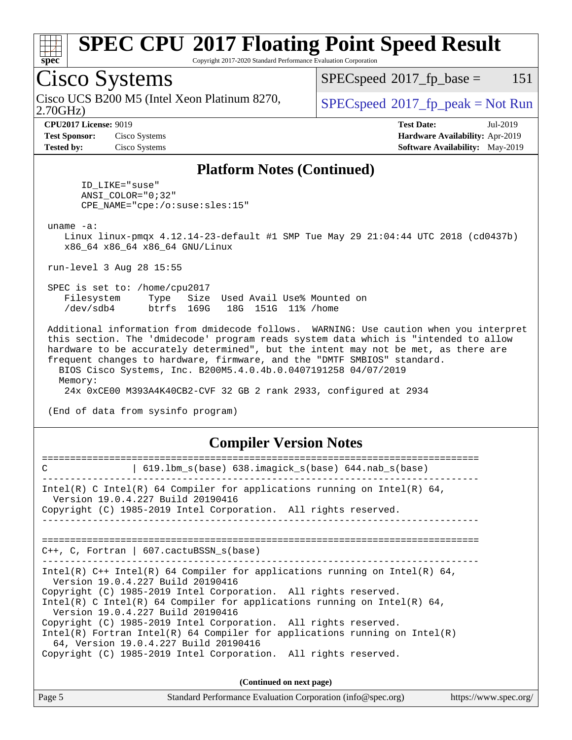

Copyright 2017-2020 Standard Performance Evaluation Corporation

## Cisco Systems

2.70GHz) Cisco UCS B200 M5 (Intel Xeon Platinum 8270,  $SPECspeed^{\circ}2017\_fp\_peak = Not Run$  $SPECspeed^{\circ}2017\_fp\_peak = Not Run$ 

 $SPECspeed^{\circledcirc}2017_fp\_base = 151$  $SPECspeed^{\circledcirc}2017_fp\_base = 151$ 

**[Test Sponsor:](http://www.spec.org/auto/cpu2017/Docs/result-fields.html#TestSponsor)** Cisco Systems **[Hardware Availability:](http://www.spec.org/auto/cpu2017/Docs/result-fields.html#HardwareAvailability)** Apr-2019 **[Tested by:](http://www.spec.org/auto/cpu2017/Docs/result-fields.html#Testedby)** Cisco Systems **[Software Availability:](http://www.spec.org/auto/cpu2017/Docs/result-fields.html#SoftwareAvailability)** May-2019

**[CPU2017 License:](http://www.spec.org/auto/cpu2017/Docs/result-fields.html#CPU2017License)** 9019 **[Test Date:](http://www.spec.org/auto/cpu2017/Docs/result-fields.html#TestDate)** Jul-2019

#### **[Platform Notes \(Continued\)](http://www.spec.org/auto/cpu2017/Docs/result-fields.html#PlatformNotes)**

 ID\_LIKE="suse" ANSI\_COLOR="0;32" CPE\_NAME="cpe:/o:suse:sles:15"

uname -a:

 Linux linux-pmqx 4.12.14-23-default #1 SMP Tue May 29 21:04:44 UTC 2018 (cd0437b) x86\_64 x86\_64 x86\_64 GNU/Linux

run-level 3 Aug 28 15:55

 SPEC is set to: /home/cpu2017 Filesystem Type Size Used Avail Use% Mounted on /dev/sdb4 btrfs 169G 18G 151G 11% /home

 Additional information from dmidecode follows. WARNING: Use caution when you interpret this section. The 'dmidecode' program reads system data which is "intended to allow hardware to be accurately determined", but the intent may not be met, as there are frequent changes to hardware, firmware, and the "DMTF SMBIOS" standard. BIOS Cisco Systems, Inc. B200M5.4.0.4b.0.0407191258 04/07/2019 Memory:

24x 0xCE00 M393A4K40CB2-CVF 32 GB 2 rank 2933, configured at 2934

(End of data from sysinfo program)

#### **[Compiler Version Notes](http://www.spec.org/auto/cpu2017/Docs/result-fields.html#CompilerVersionNotes)**

| $619.1$ bm_s(base) $638.imagick_s(base)$ $644.nab_s(base)$<br>C                                                                                                                                                                                                                                                                                                                                                                                                                                                                                                    |  |  |  |  |  |  |
|--------------------------------------------------------------------------------------------------------------------------------------------------------------------------------------------------------------------------------------------------------------------------------------------------------------------------------------------------------------------------------------------------------------------------------------------------------------------------------------------------------------------------------------------------------------------|--|--|--|--|--|--|
| Intel(R) C Intel(R) 64 Compiler for applications running on Intel(R) 64,<br>Version 19.0.4.227 Build 20190416<br>Copyright (C) 1985-2019 Intel Corporation. All rights reserved.                                                                                                                                                                                                                                                                                                                                                                                   |  |  |  |  |  |  |
| $C_{++}$ , C, Fortran   607. cactuBSSN s(base)                                                                                                                                                                                                                                                                                                                                                                                                                                                                                                                     |  |  |  |  |  |  |
| Intel(R) $C++$ Intel(R) 64 Compiler for applications running on Intel(R) 64,<br>Version 19.0.4.227 Build 20190416<br>Copyright (C) 1985-2019 Intel Corporation. All rights reserved.<br>Intel(R) C Intel(R) 64 Compiler for applications running on Intel(R) 64,<br>Version 19.0.4.227 Build 20190416<br>Copyright (C) 1985-2019 Intel Corporation. All rights reserved.<br>Intel(R) Fortran Intel(R) 64 Compiler for applications running on Intel(R)<br>64, Version 19.0.4.227 Build 20190416<br>Copyright (C) 1985-2019 Intel Corporation. All rights reserved. |  |  |  |  |  |  |
| (Continued on next page)                                                                                                                                                                                                                                                                                                                                                                                                                                                                                                                                           |  |  |  |  |  |  |

Page 5 Standard Performance Evaluation Corporation [\(info@spec.org\)](mailto:info@spec.org) <https://www.spec.org/>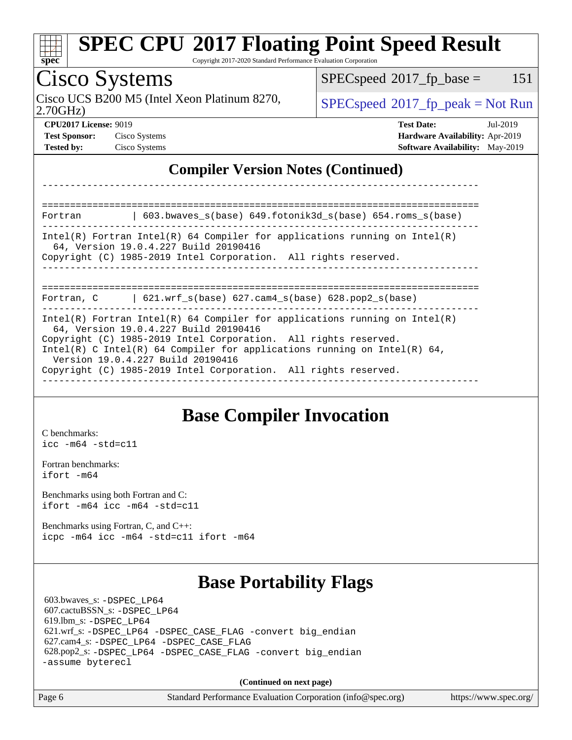| <b>Cisco Systems</b>                                                                                                                                                                     | $SPEC speed^{\circ}2017$ fp base =<br>151                                                                  |  |  |  |  |  |
|------------------------------------------------------------------------------------------------------------------------------------------------------------------------------------------|------------------------------------------------------------------------------------------------------------|--|--|--|--|--|
| Cisco UCS B200 M5 (Intel Xeon Platinum 8270,<br>2.70GHz                                                                                                                                  | $SPEC speed^{\circ}2017\_fp\_peak = Not Run$                                                               |  |  |  |  |  |
| <b>CPU2017 License: 9019</b><br>Test Sponsor: Cisco Systems<br><b>Tested by:</b> Cisco Systems                                                                                           | <b>Test Date:</b><br>Jul-2019<br>Hardware Availability: Apr-2019<br><b>Software Availability:</b> May-2019 |  |  |  |  |  |
| <b>Compiler Version Notes (Continued)</b>                                                                                                                                                |                                                                                                            |  |  |  |  |  |
|                                                                                                                                                                                          |                                                                                                            |  |  |  |  |  |
| 603.bwaves_s(base) 649.fotonik3d_s(base) 654.roms_s(base)<br>Fortran                                                                                                                     |                                                                                                            |  |  |  |  |  |
|                                                                                                                                                                                          |                                                                                                            |  |  |  |  |  |
| $Intel(R)$ Fortran Intel(R) 64 Compiler for applications running on Intel(R)<br>64, Version 19.0.4.227 Build 20190416<br>Copyright (C) 1985-2019 Intel Corporation. All rights reserved. |                                                                                                            |  |  |  |  |  |
| $\vert$ 621.wrf_s(base) 627.cam4_s(base) 628.pop2_s(base)<br>Fortran, C                                                                                                                  | ____________________                                                                                       |  |  |  |  |  |

#### **[Base Compiler Invocation](http://www.spec.org/auto/cpu2017/Docs/result-fields.html#BaseCompilerInvocation)**

[C benchmarks](http://www.spec.org/auto/cpu2017/Docs/result-fields.html#Cbenchmarks): [icc -m64 -std=c11](http://www.spec.org/cpu2017/results/res2019q3/cpu2017-20190903-17707.flags.html#user_CCbase_intel_icc_64bit_c11_33ee0cdaae7deeeab2a9725423ba97205ce30f63b9926c2519791662299b76a0318f32ddfffdc46587804de3178b4f9328c46fa7c2b0cd779d7a61945c91cd35)

[Fortran benchmarks](http://www.spec.org/auto/cpu2017/Docs/result-fields.html#Fortranbenchmarks): [ifort -m64](http://www.spec.org/cpu2017/results/res2019q3/cpu2017-20190903-17707.flags.html#user_FCbase_intel_ifort_64bit_24f2bb282fbaeffd6157abe4f878425411749daecae9a33200eee2bee2fe76f3b89351d69a8130dd5949958ce389cf37ff59a95e7a40d588e8d3a57e0c3fd751)

[Benchmarks using both Fortran and C](http://www.spec.org/auto/cpu2017/Docs/result-fields.html#BenchmarksusingbothFortranandC): [ifort -m64](http://www.spec.org/cpu2017/results/res2019q3/cpu2017-20190903-17707.flags.html#user_CC_FCbase_intel_ifort_64bit_24f2bb282fbaeffd6157abe4f878425411749daecae9a33200eee2bee2fe76f3b89351d69a8130dd5949958ce389cf37ff59a95e7a40d588e8d3a57e0c3fd751) [icc -m64 -std=c11](http://www.spec.org/cpu2017/results/res2019q3/cpu2017-20190903-17707.flags.html#user_CC_FCbase_intel_icc_64bit_c11_33ee0cdaae7deeeab2a9725423ba97205ce30f63b9926c2519791662299b76a0318f32ddfffdc46587804de3178b4f9328c46fa7c2b0cd779d7a61945c91cd35)

[Benchmarks using Fortran, C, and C++:](http://www.spec.org/auto/cpu2017/Docs/result-fields.html#BenchmarksusingFortranCandCXX) [icpc -m64](http://www.spec.org/cpu2017/results/res2019q3/cpu2017-20190903-17707.flags.html#user_CC_CXX_FCbase_intel_icpc_64bit_4ecb2543ae3f1412ef961e0650ca070fec7b7afdcd6ed48761b84423119d1bf6bdf5cad15b44d48e7256388bc77273b966e5eb805aefd121eb22e9299b2ec9d9) [icc -m64 -std=c11](http://www.spec.org/cpu2017/results/res2019q3/cpu2017-20190903-17707.flags.html#user_CC_CXX_FCbase_intel_icc_64bit_c11_33ee0cdaae7deeeab2a9725423ba97205ce30f63b9926c2519791662299b76a0318f32ddfffdc46587804de3178b4f9328c46fa7c2b0cd779d7a61945c91cd35) [ifort -m64](http://www.spec.org/cpu2017/results/res2019q3/cpu2017-20190903-17707.flags.html#user_CC_CXX_FCbase_intel_ifort_64bit_24f2bb282fbaeffd6157abe4f878425411749daecae9a33200eee2bee2fe76f3b89351d69a8130dd5949958ce389cf37ff59a95e7a40d588e8d3a57e0c3fd751)

### **[Base Portability Flags](http://www.spec.org/auto/cpu2017/Docs/result-fields.html#BasePortabilityFlags)**

 603.bwaves\_s: [-DSPEC\\_LP64](http://www.spec.org/cpu2017/results/res2019q3/cpu2017-20190903-17707.flags.html#suite_basePORTABILITY603_bwaves_s_DSPEC_LP64) 607.cactuBSSN\_s: [-DSPEC\\_LP64](http://www.spec.org/cpu2017/results/res2019q3/cpu2017-20190903-17707.flags.html#suite_basePORTABILITY607_cactuBSSN_s_DSPEC_LP64) 619.lbm\_s: [-DSPEC\\_LP64](http://www.spec.org/cpu2017/results/res2019q3/cpu2017-20190903-17707.flags.html#suite_basePORTABILITY619_lbm_s_DSPEC_LP64) 621.wrf\_s: [-DSPEC\\_LP64](http://www.spec.org/cpu2017/results/res2019q3/cpu2017-20190903-17707.flags.html#suite_basePORTABILITY621_wrf_s_DSPEC_LP64) [-DSPEC\\_CASE\\_FLAG](http://www.spec.org/cpu2017/results/res2019q3/cpu2017-20190903-17707.flags.html#b621.wrf_s_baseCPORTABILITY_DSPEC_CASE_FLAG) [-convert big\\_endian](http://www.spec.org/cpu2017/results/res2019q3/cpu2017-20190903-17707.flags.html#user_baseFPORTABILITY621_wrf_s_convert_big_endian_c3194028bc08c63ac5d04de18c48ce6d347e4e562e8892b8bdbdc0214820426deb8554edfa529a3fb25a586e65a3d812c835984020483e7e73212c4d31a38223) 627.cam4\_s: [-DSPEC\\_LP64](http://www.spec.org/cpu2017/results/res2019q3/cpu2017-20190903-17707.flags.html#suite_basePORTABILITY627_cam4_s_DSPEC_LP64) [-DSPEC\\_CASE\\_FLAG](http://www.spec.org/cpu2017/results/res2019q3/cpu2017-20190903-17707.flags.html#b627.cam4_s_baseCPORTABILITY_DSPEC_CASE_FLAG) 628.pop2\_s: [-DSPEC\\_LP64](http://www.spec.org/cpu2017/results/res2019q3/cpu2017-20190903-17707.flags.html#suite_basePORTABILITY628_pop2_s_DSPEC_LP64) [-DSPEC\\_CASE\\_FLAG](http://www.spec.org/cpu2017/results/res2019q3/cpu2017-20190903-17707.flags.html#b628.pop2_s_baseCPORTABILITY_DSPEC_CASE_FLAG) [-convert big\\_endian](http://www.spec.org/cpu2017/results/res2019q3/cpu2017-20190903-17707.flags.html#user_baseFPORTABILITY628_pop2_s_convert_big_endian_c3194028bc08c63ac5d04de18c48ce6d347e4e562e8892b8bdbdc0214820426deb8554edfa529a3fb25a586e65a3d812c835984020483e7e73212c4d31a38223) [-assume byterecl](http://www.spec.org/cpu2017/results/res2019q3/cpu2017-20190903-17707.flags.html#user_baseFPORTABILITY628_pop2_s_assume_byterecl_7e47d18b9513cf18525430bbf0f2177aa9bf368bc7a059c09b2c06a34b53bd3447c950d3f8d6c70e3faf3a05c8557d66a5798b567902e8849adc142926523472)

**(Continued on next page)**

Page 6 Standard Performance Evaluation Corporation [\(info@spec.org\)](mailto:info@spec.org) <https://www.spec.org/>